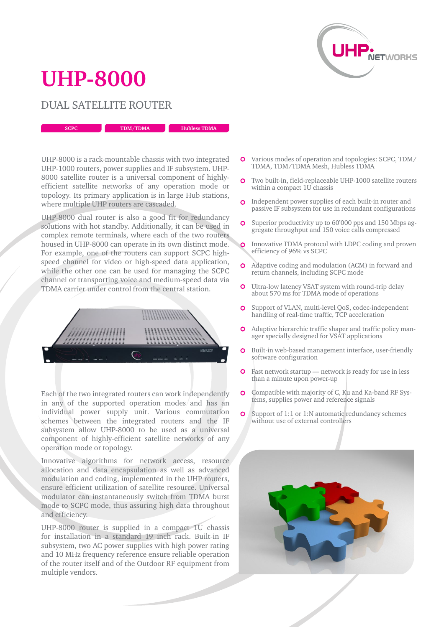

## **UHP-8000**

## DUAL SATELLITE ROUTER

**SCPC <b>TDM/TDMA Hubless TDMA** 

UHP-8000 is a rack-mountable chassis with two integrated UHP-1000 routers, power supplies and IF subsystem. UHP-8000 satellite router is a universal component of highlyefficient satellite networks of any operation mode or topology. Its primary application is in large Hub stations, where multiple UHP routers are cascaded.

UHP-8000 dual router is also a good fit for redundancy solutions with hot standby. Additionally, it can be used in complex remote terminals, where each of the two routers housed in UHP-8000 can operate in its own distinct mode. For example, one of the routers can support SCPC highspeed channel for video or high-speed data application, while the other one can be used for managing the SCPC channel or transporting voice and medium-speed data via TDMA carrier under control from the central station.



Each of the two integrated routers can work independently in any of the supported operation modes and has an individual power supply unit. Various commutation schemes between the integrated routers and the IF subsystem allow UHP-8000 to be used as a universal component of highly-efficient satellite networks of any operation mode or topology.

Innovative algorithms for network access, resource allocation and data encapsulation as well as advanced modulation and coding, implemented in the UHP routers, ensure efficient utilization of satellite resource. Universal modulator can instantaneously switch from TDMA burst mode to SCPC mode, thus assuring high data throughout and efficiency.

UHP-8000 router is supplied in a compact 1U chassis for installation in a standard 19 inch rack. Built-in IF subsystem, two AC power supplies with high power rating and 10 MHz frequency reference ensure reliable operation of the router itself and of the Outdoor RF equipment from multiple vendors.

- Various modes of operation and topologies: SCPC, TDM/ TDMA, TDM/TDMA Mesh, Hubless TDMA
- $\Omega$ Two built-in, field-replaceable UHP-1000 satellite routers within a compact 1U chassis
- **O** Independent power supplies of each built-in router and passive IF subsystem for use in redundant configurations
- Superior productivity up to 60'000 pps and 150 Mbps ag- $\Omega$ gregate throughput and 150 voice calls compressed
- Innovative TDMA protocol with LDPC coding and proven efficiency of 96% vs SCPC
- $\overline{O}$ Adaptive coding and modulation (ACM) in forward and return channels, including SCPC mode
- **O** Ultra-low latency VSAT system with round-trip delay about 570 ms for TDMA mode of operations
- Support of VLAN, multi-level QoS, codec-independent  $\Omega$ handling of real-time traffic, TCP acceleration
- $\Omega$ Adaptive hierarchic traffic shaper and traffic policy manager specially designed for VSAT applications
- $\overline{O}$ Built-in web-based management interface, user-friendly software configuration
- **O** Fast network startup network is ready for use in less than a minute upon power-up
- Compatible with majority of C, Ku and Ka-band RF Sys- $\mathbf{o}$ tems, supplies power and reference signals
- **O** Support of 1:1 or 1:N automatic redundancy schemes without use of external controllers